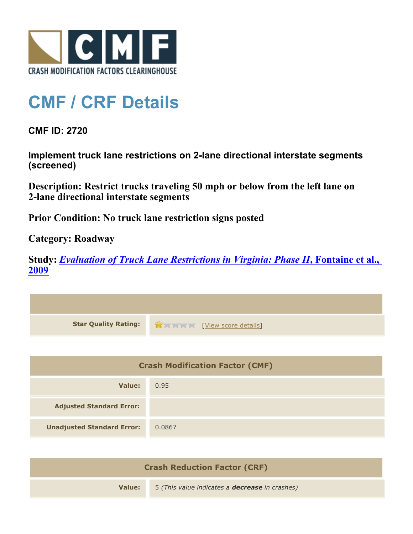

## **CMF / CRF Details**

**CMF ID: 2720**

**Implement truck lane restrictions on 2-lane directional interstate segments (screened)**

**Description: Restrict trucks traveling 50 mph or below from the left lane on 2-lane directional interstate segments**

**Prior Condition: No truck lane restriction signs posted**

**Category: Roadway**

**Study:** *[Evaluation of Truck Lane Restrictions in Virginia: Phase II](http://www.cmfclearinghouse.org/study_detail.cfm?stid=176)***[, Fontaine et al.,](http://www.cmfclearinghouse.org/study_detail.cfm?stid=176) [2009](http://www.cmfclearinghouse.org/study_detail.cfm?stid=176)**

| <b>Star Quality Rating:</b>            | View score details |
|----------------------------------------|--------------------|
|                                        |                    |
| <b>Crash Modification Factor (CMF)</b> |                    |
| <b>Value:</b>                          | 0.95               |
| <b>Adjusted Standard Error:</b>        |                    |
| <b>Unadjusted Standard Error:</b>      | 0.0867             |
|                                        |                    |

| <b>Crash Reduction Factor (CRF)</b> |                                                       |
|-------------------------------------|-------------------------------------------------------|
| Value:                              | 5 (This value indicates a <b>decrease</b> in crashes) |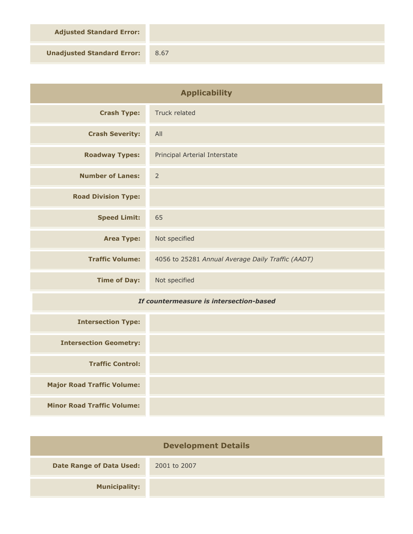**Adjusted Standard Error:**

**Unadjusted Standard Error:** 8.67

| <b>Applicability</b>                    |                                                   |
|-----------------------------------------|---------------------------------------------------|
| <b>Crash Type:</b>                      | Truck related                                     |
| <b>Crash Severity:</b>                  | All                                               |
| <b>Roadway Types:</b>                   | Principal Arterial Interstate                     |
| <b>Number of Lanes:</b>                 | $\overline{2}$                                    |
| <b>Road Division Type:</b>              |                                                   |
| <b>Speed Limit:</b>                     | 65                                                |
| <b>Area Type:</b>                       | Not specified                                     |
| <b>Traffic Volume:</b>                  | 4056 to 25281 Annual Average Daily Traffic (AADT) |
| <b>Time of Day:</b>                     | Not specified                                     |
| If countermeasure is intersection-based |                                                   |
| <b>Intersection Type:</b>               |                                                   |
| <b>Intersection Geometry:</b>           |                                                   |
| <b>Traffic Control:</b>                 |                                                   |
| <b>Major Road Traffic Volume:</b>       |                                                   |
| <b>Minor Road Traffic Volume:</b>       |                                                   |

| <b>Development Details</b>      |              |  |
|---------------------------------|--------------|--|
| <b>Date Range of Data Used:</b> | 2001 to 2007 |  |
| <b>Municipality:</b>            |              |  |